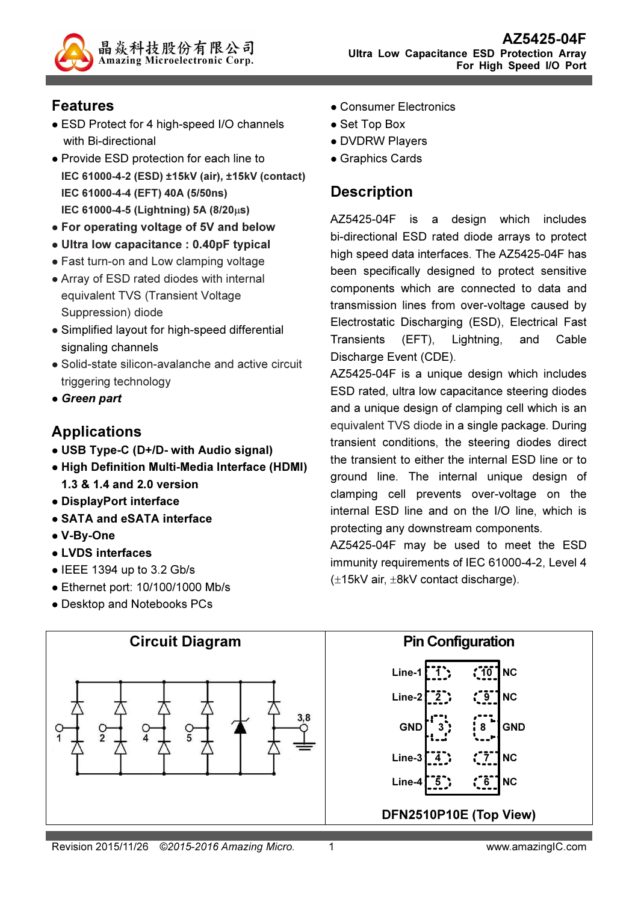

## Features

- ESD Protect for 4 high-speed I/O channels with Bi-directional
- Provide ESD protection for each line to IEC 61000-4-2 (ESD) ±15kV (air), ±15kV (contact) IEC 61000-4-4 (EFT) 40A (5/50ns) IEC 61000-4-5 (Lightning) 5A (8/20µs)
- For operating voltage of 5V and below
- Ultra low capacitance : 0.40pF typical
- Fast turn-on and Low clamping voltage
- Array of ESD rated diodes with internal equivalent TVS (Transient Voltage Suppression) diode
- Simplified layout for high-speed differential signaling channels
- Solid-state silicon-avalanche and active circuit triggering technology
- Green part

### Applications

- USB Type-C (D+/D- with Audio signal)
- High Definition Multi-Media Interface (HDMI) 1.3 & 1.4 and 2.0 version
- DisplayPort interface
- SATA and eSATA interface
- V-By-One
- LVDS interfaces
- $\bullet$  IEEE 1394 up to 3.2 Gb/s
- Ethernet port: 10/100/1000 Mb/s
- Desktop and Notebooks PCs
- Consumer Electronics
- Set Top Box
- DVDRW Players
- Graphics Cards

## **Description**

AZ5425-04F is a design which includes bi-directional ESD rated diode arrays to protect high speed data interfaces. The AZ5425-04F has been specifically designed to protect sensitive components which are connected to data and transmission lines from over-voltage caused by Electrostatic Discharging (ESD), Electrical Fast Transients (EFT), Lightning, and Cable Discharge Event (CDE).

AZ5425-04F is a unique design which includes ESD rated, ultra low capacitance steering diodes and a unique design of clamping cell which is an equivalent TVS diode in a single package. During transient conditions, the steering diodes direct the transient to either the internal ESD line or to ground line. The internal unique design of clamping cell prevents over-voltage on the internal ESD line and on the I/O line, which is protecting any downstream components.

AZ5425-04F may be used to meet the ESD immunity requirements of IEC 61000-4-2, Level 4 (±15kV air, ±8kV contact discharge).

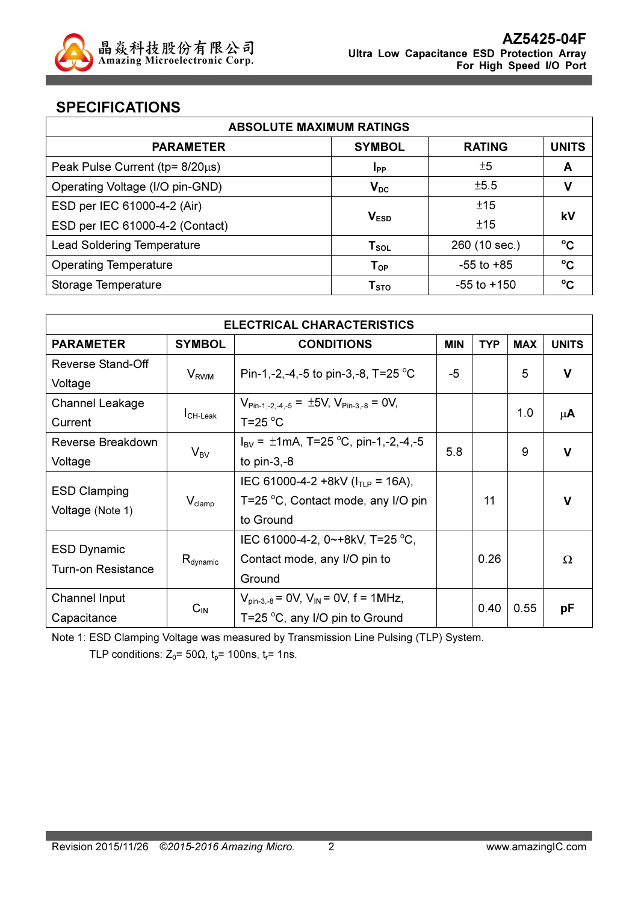

### SPECIFICATIONS

| <b>ABSOLUTE MAXIMUM RATINGS</b>         |                             |                 |              |  |
|-----------------------------------------|-----------------------------|-----------------|--------------|--|
| <b>PARAMETER</b>                        | <b>SYMBOL</b>               | <b>RATING</b>   | <b>UNITS</b> |  |
| Peak Pulse Current ( $tp = 8/20\mu s$ ) | <b>I</b> <sub>PP</sub>      | ±5              | A            |  |
| Operating Voltage (I/O pin-GND)         | $V_{DC}$                    | ±5.5            | ν            |  |
| ESD per IEC 61000-4-2 (Air)             |                             | ±15             | kV           |  |
| ESD per IEC 61000-4-2 (Contact)         | V <sub>ESD</sub>            |                 |              |  |
| <b>Lead Soldering Temperature</b>       | $\mathsf{T}_{\texttt{SOL}}$ | 260 (10 sec.)   | $^{\circ}$ C |  |
| <b>Operating Temperature</b>            | $T_{OP}$                    | $-55$ to $+85$  | $^{\circ}$ C |  |
| Storage Temperature                     | T <sub>STO</sub>            | $-55$ to $+150$ | $\rm ^{o}C$  |  |

| <b>ELECTRICAL CHARACTERISTICS</b>                                       |                                    |                                                                 |            |            |            |              |
|-------------------------------------------------------------------------|------------------------------------|-----------------------------------------------------------------|------------|------------|------------|--------------|
| <b>PARAMETER</b>                                                        | <b>SYMBOL</b><br><b>CONDITIONS</b> |                                                                 | <b>MIN</b> | <b>TYP</b> | <b>MAX</b> | <b>UNITS</b> |
| Reverse Stand-Off                                                       |                                    |                                                                 | -5         |            | 5          | $\mathbf v$  |
| Voltage                                                                 | $V_{RWM}$                          | Pin-1,-2,-4,-5 to pin-3,-8, T=25 °C                             |            |            |            |              |
| <b>Channel Leakage</b>                                                  |                                    | $V_{\text{Pin-1.-2.-4.-5}} = \pm 5V, V_{\text{Pin-3.-8}} = 0V,$ |            |            |            |              |
| Current                                                                 | $I_{CH\text{-}\text{Leak}}$        | $T = 25$ °C                                                     |            |            | 1.0        | $\mu$ A      |
| Reverse Breakdown                                                       |                                    | $I_{\text{BV}} = \pm 1$ mA, T=25 °C, pin-1,-2,-4,-5             | 5.8        |            | 9          | $\mathbf v$  |
| Voltage                                                                 | $V_{BV}$                           | to $pin-3,-8$                                                   |            |            |            |              |
|                                                                         |                                    | IEC 61000-4-2 +8kV ( $I_{TLP}$ = 16A),                          |            |            |            |              |
| <b>ESD Clamping</b>                                                     | $V_{\text{clamp}}$                 | T=25 °C, Contact mode, any I/O pin                              |            | 11         |            | $\mathbf v$  |
| Voltage (Note 1)                                                        |                                    | to Ground                                                       |            |            |            |              |
|                                                                         |                                    | IEC 61000-4-2, 0~+8kV, T=25 °C,                                 |            |            |            |              |
| <b>ESD Dynamic</b><br>$R_{\text{dynamic}}$<br><b>Turn-on Resistance</b> |                                    | Contact mode, any I/O pin to                                    | 0.26       |            |            | Ω            |
|                                                                         |                                    | Ground                                                          |            |            |            |              |
| Channel Input                                                           |                                    | $V_{\text{pin-3.-8}}$ = 0V, $V_{\text{IN}}$ = 0V, f = 1MHz,     |            | 0.55       |            |              |
| Capacitance                                                             | $C_{IN}$                           | T=25 $\mathrm{^{\circ}C}$ , any I/O pin to Ground               | 0.40       |            |            | рF           |

Note 1: ESD Clamping Voltage was measured by Transmission Line Pulsing (TLP) System.

TLP conditions:  $Z_0$ = 50 $\Omega$ ,  $t_p$ = 100ns,  $t_r$ = 1ns.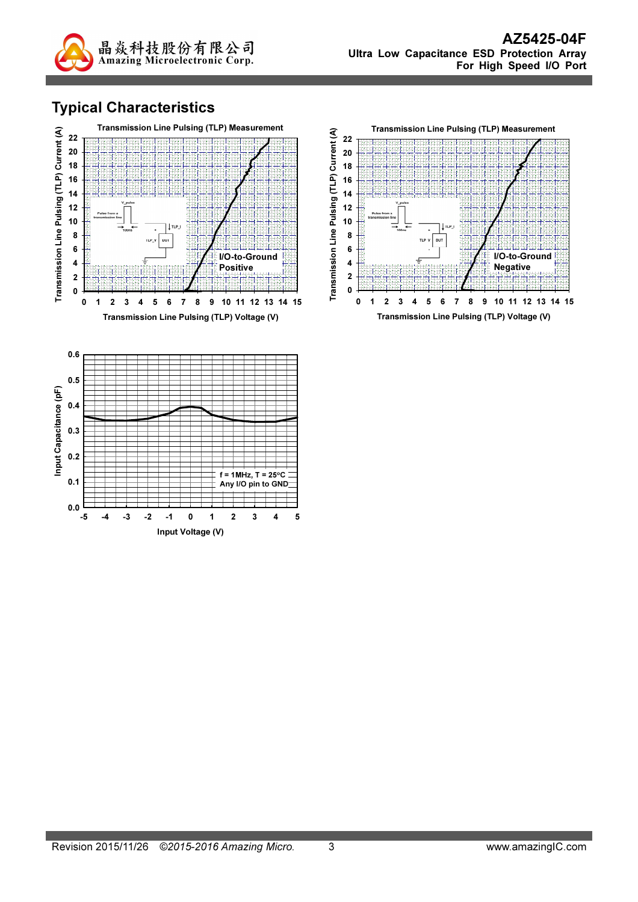

## Typical Characteristics



Input Voltage (V)

 $0.0 - 5$ 

-5 -4 -3 -2 -1 0 1 2 3 4 5

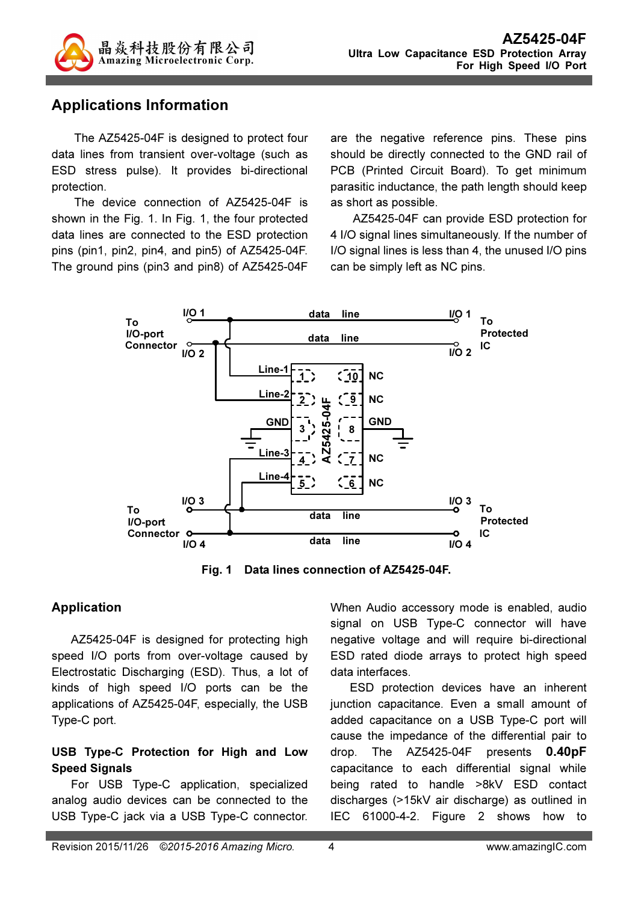

### Applications Information

The AZ5425-04F is designed to protect four data lines from transient over-voltage (such as ESD stress pulse). It provides bi-directional protection.

The device connection of AZ5425-04F is shown in the Fig. 1. In Fig. 1, the four protected data lines are connected to the ESD protection pins (pin1, pin2, pin4, and pin5) of AZ5425-04F. The ground pins (pin3 and pin8) of AZ5425-04F are the negative reference pins. These pins should be directly connected to the GND rail of PCB (Printed Circuit Board). To get minimum parasitic inductance, the path length should keep as short as possible.

AZ5425-04F can provide ESD protection for 4 I/O signal lines simultaneously. If the number of I/O signal lines is less than 4, the unused I/O pins can be simply left as NC pins.



Fig. 1 Data lines connection of AZ5425-04F.

#### Application

AZ5425-04F is designed for protecting high speed I/O ports from over-voltage caused by Electrostatic Discharging (ESD). Thus, a lot of kinds of high speed I/O ports can be the applications of AZ5425-04F, especially, the USB Type-C port.

#### USB Type-C Protection for High and Low Speed Signals

For USB Type-C application, specialized analog audio devices can be connected to the USB Type-C jack via a USB Type-C connector.

When Audio accessory mode is enabled, audio signal on USB Type-C connector will have negative voltage and will require bi-directional ESD rated diode arrays to protect high speed data interfaces.

ESD protection devices have an inherent junction capacitance. Even a small amount of added capacitance on a USB Type-C port will cause the impedance of the differential pair to drop. The AZ5425-04F presents 0.40pF capacitance to each differential signal while being rated to handle >8kV ESD contact discharges (>15kV air discharge) as outlined in IEC 61000-4-2. Figure 2 shows how to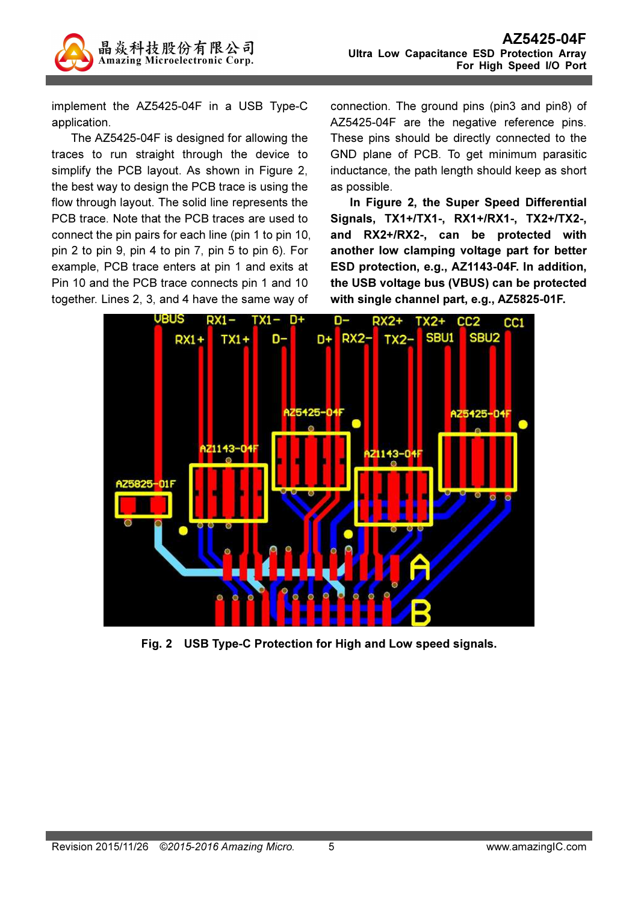

implement the AZ5425-04F in a USB Type-C application.

The AZ5425-04F is designed for allowing the traces to run straight through the device to simplify the PCB layout. As shown in Figure 2, the best way to design the PCB trace is using the flow through layout. The solid line represents the PCB trace. Note that the PCB traces are used to connect the pin pairs for each line (pin 1 to pin 10, pin 2 to pin 9, pin 4 to pin 7, pin 5 to pin 6). For example, PCB trace enters at pin 1 and exits at Pin 10 and the PCB trace connects pin 1 and 10 together. Lines 2, 3, and 4 have the same way of

connection. The ground pins (pin3 and pin8) of AZ5425-04F are the negative reference pins. These pins should be directly connected to the GND plane of PCB. To get minimum parasitic inductance, the path length should keep as short as possible.

In Figure 2, the Super Speed Differential Signals, TX1+/TX1-, RX1+/RX1-, TX2+/TX2-, and RX2+/RX2-, can be protected with another low clamping voltage part for better ESD protection, e.g., AZ1143-04F. In addition, the USB voltage bus (VBUS) can be protected with single channel part, e.g., AZ5825-01F.



Fig. 2 USB Type-C Protection for High and Low speed signals.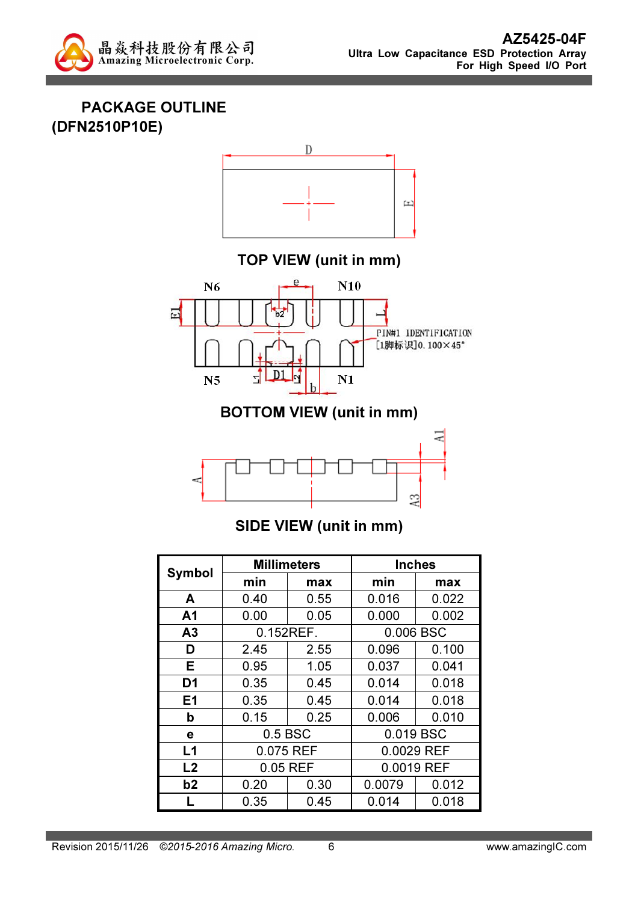

PACKAGE OUTLINE (DFN2510P10E)



TOP VIEW (unit in mm)



BOTTOM VIEW (unit in mm)



# SIDE VIEW (unit in mm)

|                | <b>Millimeters</b>   |      |            | <b>Inches</b> |  |
|----------------|----------------------|------|------------|---------------|--|
| <b>Symbol</b>  | min                  | max  | min        | max           |  |
| A              | 0.40                 | 0.55 | 0.016      | 0.022         |  |
| A <sub>1</sub> | 0.00                 | 0.05 | 0.000      | 0.002         |  |
| A <sub>3</sub> | 0.152REF.            |      | 0.006 BSC  |               |  |
| D              | 2.45                 | 2.55 | 0.096      | 0.100         |  |
| Е              | 0.95                 | 1.05 | 0.037      | 0.041         |  |
| D1             | 0.35                 | 0.45 | 0.014      | 0.018         |  |
| E <sub>1</sub> | 0.35                 | 0.45 | 0.014      | 0.018         |  |
| b              | 0.15                 | 0.25 | 0.006      | 0.010         |  |
| е              | 0.5 BSC<br>0.019 BSC |      |            |               |  |
| L1             | 0.075 REF            |      | 0.0029 REF |               |  |
| L <sub>2</sub> | 0.05 REF             |      | 0.0019 REF |               |  |
| b2             | 0.20                 | 0.30 | 0.0079     | 0.012         |  |
|                | 0.35                 | 0.45 | 0.014      | 0.018         |  |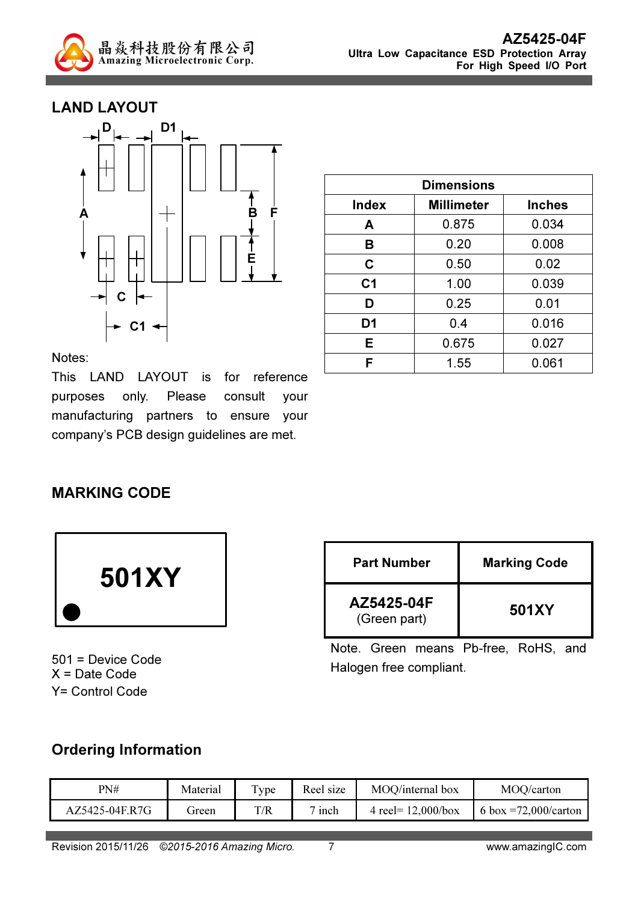

### LAND LAYOUT



| <b>Dimensions</b> |                                    |       |  |
|-------------------|------------------------------------|-------|--|
| <b>Index</b>      | <b>Millimeter</b><br><b>Inches</b> |       |  |
| A                 | 0.875                              | 0.034 |  |
| B                 | 0.20                               | 0.008 |  |
| C                 | 0.50                               | 0.02  |  |
| C <sub>1</sub>    | 1.00                               | 0.039 |  |
| D                 | 0.25                               | 0.01  |  |
| D <sub>1</sub>    | 0.4                                | 0.016 |  |
| Е                 | 0.675                              | 0.027 |  |
| F                 | 1.55                               | 0.061 |  |

Notes:

This LAND LAYOUT is for reference purposes only. Please consult your manufacturing partners to ensure your company's PCB design guidelines are met.

### MARKING CODE



501 = Device Code X = Date Code Y= Control Code

| <b>Part Number</b>         | <b>Marking Code</b> |
|----------------------------|---------------------|
| AZ5425-04F<br>(Green part) | 501XY               |

Note. Green means Pb-free, RoHS, and Halogen free compliant.

### Ordering Information

| PN#            | Material | vpe | Reel size        | MOO/internal box      | MOQ/carton               |
|----------------|----------|-----|------------------|-----------------------|--------------------------|
| AZ5425-04E.R7G | freen    | T/R | <sub>1</sub> nch | 4 reel= $12,000/b$ ox | 6 box = $72,000$ /carton |